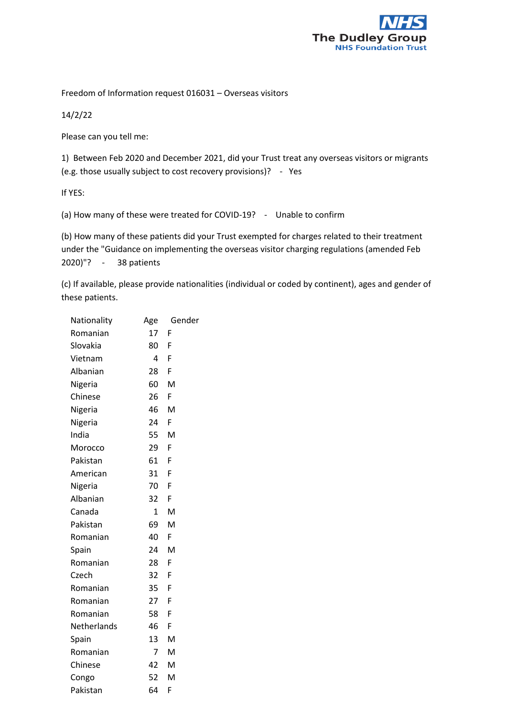

Freedom of Information request 016031 – Overseas visitors

14/2/22

Please can you tell me:

1) Between Feb 2020 and December 2021, did your Trust treat any overseas visitors or migrants (e.g. those usually subject to cost recovery provisions)? - Yes

If YES:

(a) How many of these were treated for COVID-19? - Unable to confirm

(b) How many of these patients did your Trust exempted for charges related to their treatment under the "Guidance on implementing the overseas visitor charging regulations (amended Feb 2020)"? - 38 patients

(c) If available, please provide nationalities (individual or coded by continent), ages and gender of these patients.

| Nationality | Age             | Gender |  |
|-------------|-----------------|--------|--|
| Romanian    | 17              | F      |  |
| Slovakia    | 80              | F      |  |
| Vietnam     | 4               | F      |  |
| Albanian    | 28              | F      |  |
| Nigeria     | 60              | M      |  |
| Chinese     | 26              | F      |  |
| Nigeria     | 46              | M      |  |
| Nigeria     | 24              | F      |  |
| India       | 55              | M      |  |
| Morocco     | 29              | F      |  |
| Pakistan    | 61              | F      |  |
| American    | 31              | F      |  |
| Nigeria     | 70              | F      |  |
| Albanian    | 32              | F      |  |
| Canada      | $\mathbf{1}$    | M      |  |
| Pakistan    | 69              | M      |  |
| Romanian    | 40              | F      |  |
| Spain       | 24              | M      |  |
| Romanian    | 28              | F      |  |
| Czech       | 32              | F      |  |
| Romanian    | 35              | F      |  |
| Romanian    | 27 <sub>2</sub> | F      |  |
| Romanian    | 58              | F      |  |
| Netherlands | 46              | F      |  |
| Spain       | 13              | M      |  |
| Romanian    | $\overline{7}$  | M      |  |
| Chinese     | 42              | M      |  |
| Congo       | 52              | M      |  |
| Pakistan    | 64              | F      |  |